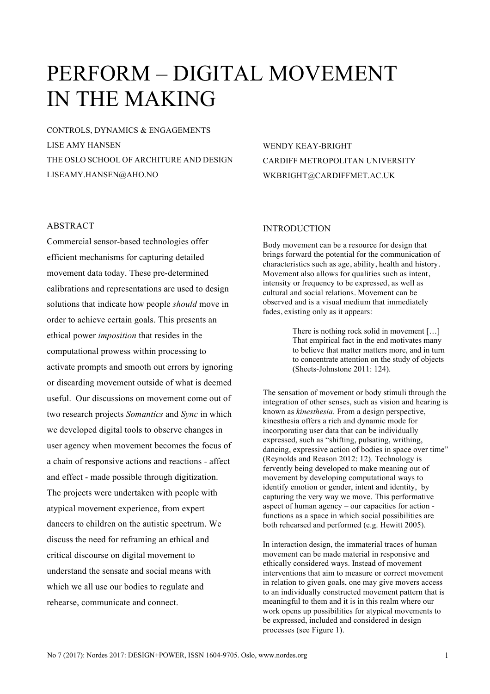# PERFORM – DIGITAL MOVEMENT IN THE MAKING

CONTROLS, DYNAMICS & ENGAGEMENTS LISE AMY HANSEN THE OSLO SCHOOL OF ARCHITURE AND DESIGN LISEAMY.HANSEN@AHO.NO

# WENDY KEAY-BRIGHT CARDIFF METROPOLITAN UNIVERSITY WKBRIGHT@CARDIFFMET.AC.UK

# ABSTRACT

Commercial sensor-based technologies offer efficient mechanisms for capturing detailed movement data today. These pre-determined calibrations and representations are used to design solutions that indicate how people *should* move in order to achieve certain goals. This presents an ethical power *imposition* that resides in the computational prowess within processing to activate prompts and smooth out errors by ignoring or discarding movement outside of what is deemed useful. Our discussions on movement come out of two research projects *Somantics* and *Sync* in which we developed digital tools to observe changes in user agency when movement becomes the focus of a chain of responsive actions and reactions - affect and effect - made possible through digitization. The projects were undertaken with people with atypical movement experience, from expert dancers to children on the autistic spectrum. We discuss the need for reframing an ethical and critical discourse on digital movement to understand the sensate and social means with which we all use our bodies to regulate and rehearse, communicate and connect.

#### INTRODUCTION

Body movement can be a resource for design that brings forward the potential for the communication of characteristics such as age, ability, health and history. Movement also allows for qualities such as intent, intensity or frequency to be expressed, as well as cultural and social relations. Movement can be observed and is a visual medium that immediately fades, existing only as it appears:

> There is nothing rock solid in movement […] That empirical fact in the end motivates many to believe that matter matters more, and in turn to concentrate attention on the study of objects (Sheets-Johnstone 2011: 124).

The sensation of movement or body stimuli through the integration of other senses, such as vision and hearing is known as *kinesthesia.* From a design perspective, kinesthesia offers a rich and dynamic mode for incorporating user data that can be individually expressed, such as "shifting, pulsating, writhing, dancing, expressive action of bodies in space over time" (Reynolds and Reason 2012: 12). Technology is fervently being developed to make meaning out of movement by developing computational ways to identify emotion or gender, intent and identity, by capturing the very way we move. This performative aspect of human agency – our capacities for action functions as a space in which social possibilities are both rehearsed and performed (e.g. Hewitt 2005).

In interaction design, the immaterial traces of human movement can be made material in responsive and ethically considered ways. Instead of movement interventions that aim to measure or correct movement in relation to given goals, one may give movers access to an individually constructed movement pattern that is meaningful to them and it is in this realm where our work opens up possibilities for atypical movements to be expressed, included and considered in design processes (see Figure 1).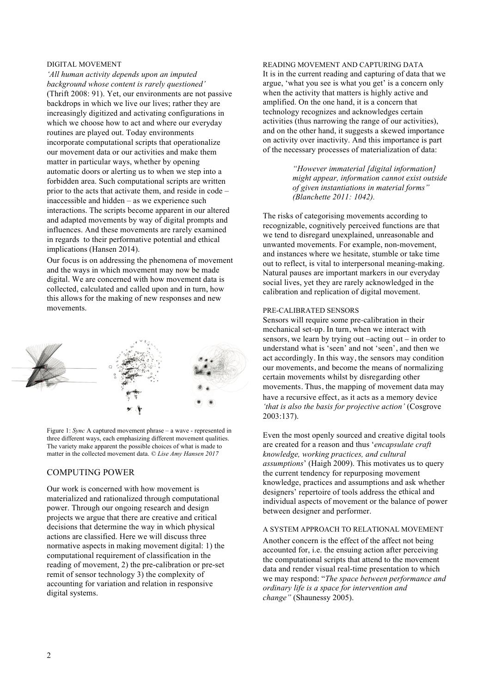#### DIGITAL MOVEMENT

*'All human activity depends upon an imputed background whose content is rarely questioned'* (Thrift 2008: 91). Yet, our environments are not passive backdrops in which we live our lives; rather they are increasingly digitized and activating configurations in which we choose how to act and where our everyday routines are played out. Today environments incorporate computational scripts that operationalize our movement data or our activities and make them matter in particular ways, whether by opening automatic doors or alerting us to when we step into a forbidden area. Such computational scripts are written prior to the acts that activate them, and reside in code – inaccessible and hidden – as we experience such interactions. The scripts become apparent in our altered and adapted movements by way of digital prompts and influences. And these movements are rarely examined in regards to their performative potential and ethical implications (Hansen 2014).

Our focus is on addressing the phenomena of movement and the ways in which movement may now be made digital. We are concerned with how movement data is collected, calculated and called upon and in turn, how this allows for the making of new responses and new movements.



Figure 1: *Sync* A captured movement phrase – a wave - represented in three different ways, each emphasizing different movement qualities. The variety make apparent the possible choices of what is made to matter in the collected movement data. *© Lise Amy Hansen 2017*

## COMPUTING POWER

Our work is concerned with how movement is materialized and rationalized through computational power. Through our ongoing research and design projects we argue that there are creative and critical decisions that determine the way in which physical actions are classified. Here we will discuss three normative aspects in making movement digital: 1) the computational requirement of classification in the reading of movement, 2) the pre-calibration or pre-set remit of sensor technology 3) the complexity of accounting for variation and relation in responsive digital systems.

READING MOVEMENT AND CAPTURING DATA It is in the current reading and capturing of data that we argue, 'what you see is what you get' is a concern only when the activity that matters is highly active and amplified. On the one hand, it is a concern that technology recognizes and acknowledges certain activities (thus narrowing the range of our activities), and on the other hand, it suggests a skewed importance on activity over inactivity. And this importance is part of the necessary processes of materialization of data:

> *"However immaterial [digital information] might appear, information cannot exist outside of given instantiations in material forms" (Blanchette 2011: 1042).*

The risks of categorising movements according to recognizable, cognitively perceived functions are that we tend to disregard unexplained, unreasonable and unwanted movements. For example, non-movement, and instances where we hesitate, stumble or take time out to reflect, is vital to interpersonal meaning-making. Natural pauses are important markers in our everyday social lives, yet they are rarely acknowledged in the calibration and replication of digital movement.

#### PRE-CALIBRATED SENSORS

Sensors will require some pre-calibration in their mechanical set-up. In turn, when we interact with sensors, we learn by trying out –acting out – in order to understand what is 'seen' and not 'seen', and then we act accordingly. In this way, the sensors may condition our movements, and become the means of normalizing certain movements whilst by disregarding other movements. Thus, the mapping of movement data may have a recursive effect, as it acts as a memory device *'that is also the basis for projective action'* (Cosgrove 2003:137).

Even the most openly sourced and creative digital tools are created for a reason and thus '*encapsulate craft knowledge, working practices, and cultural assumptions*' (Haigh 2009). This motivates us to query the current tendency for repurposing movement knowledge, practices and assumptions and ask whether designers' repertoire of tools address the ethical and individual aspects of movement or the balance of power between designer and performer.

#### A SYSTEM APPROACH TO RELATIONAL MOVEMENT

Another concern is the effect of the affect not being accounted for, i.e. the ensuing action after perceiving the computational scripts that attend to the movement data and render visual real-time presentation to which we may respond: "*The space between performance and ordinary life is a space for intervention and change"* (Shaunessy 2005).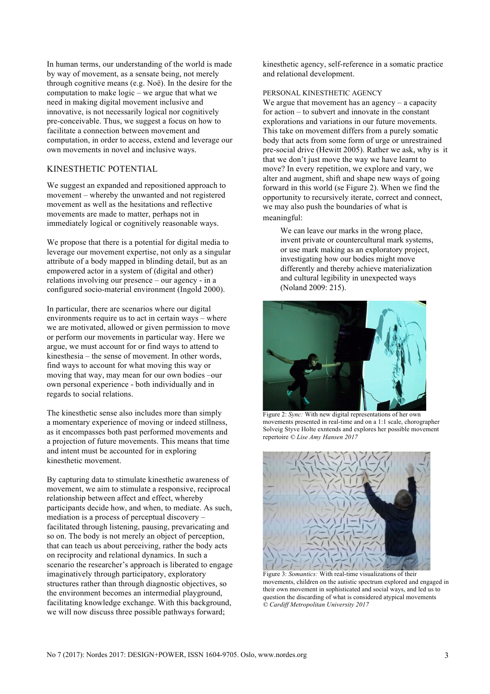In human terms, our understanding of the world is made by way of movement, as a sensate being, not merely through cognitive means (e.g. Noë). In the desire for the computation to make logic – we argue that what we need in making digital movement inclusive and innovative, is not necessarily logical nor cognitively pre-conceivable. Thus, we suggest a focus on how to facilitate a connection between movement and computation, in order to access, extend and leverage our own movements in novel and inclusive ways.

# KINESTHETIC POTENTIAL

We suggest an expanded and repositioned approach to movement – whereby the unwanted and not registered movement as well as the hesitations and reflective movements are made to matter, perhaps not in immediately logical or cognitively reasonable ways.

We propose that there is a potential for digital media to leverage our movement expertise, not only as a singular attribute of a body mapped in blinding detail, but as an empowered actor in a system of (digital and other) relations involving our presence – our agency - in a configured socio-material environment (Ingold 2000).

In particular, there are scenarios where our digital environments require us to act in certain ways – where we are motivated, allowed or given permission to move or perform our movements in particular way. Here we argue, we must account for or find ways to attend to kinesthesia – the sense of movement. In other words, find ways to account for what moving this way or moving that way, may mean for our own bodies –our own personal experience - both individually and in regards to social relations.

The kinesthetic sense also includes more than simply a momentary experience of moving or indeed stillness, as it encompasses both past performed movements and a projection of future movements. This means that time and intent must be accounted for in exploring kinesthetic movement.

By capturing data to stimulate kinesthetic awareness of movement, we aim to stimulate a responsive, reciprocal relationship between affect and effect, whereby participants decide how, and when, to mediate. As such, mediation is a process of perceptual discovery – facilitated through listening, pausing, prevaricating and so on. The body is not merely an object of perception, that can teach us about perceiving, rather the body acts on reciprocity and relational dynamics. In such a scenario the researcher's approach is liberated to engage imaginatively through participatory, exploratory structures rather than through diagnostic objectives, so the environment becomes an intermedial playground, facilitating knowledge exchange. With this background, we will now discuss three possible pathways forward;

kinesthetic agency, self-reference in a somatic practice and relational development.

PERSONAL KINESTHETIC AGENCY

We argue that movement has an agency – a capacity for action – to subvert and innovate in the constant explorations and variations in our future movements. This take on movement differs from a purely somatic body that acts from some form of urge or unrestrained pre-social drive (Hewitt 2005). Rather we ask, why is it that we don't just move the way we have learnt to move? In every repetition, we explore and vary, we alter and augment, shift and shape new ways of going forward in this world (se Figure 2). When we find the opportunity to recursively iterate, correct and connect, we may also push the boundaries of what is meaningful:

We can leave our marks in the wrong place, invent private or countercultural mark systems, or use mark making as an exploratory project, investigating how our bodies might move differently and thereby achieve materialization and cultural legibility in unexpected ways (Noland 2009: 215).



Figure 2: *Sync:* With new digital representations of her own movements presented in real-time and on a 1:1 scale, chorographer Solveig Styve Holte exntends and explores her possible movement repertoire *© Lise Amy Hansen 2017*



Figure 3: *Somantics:* With real-time visualizations of their movements, children on the autistic spectrum explored and engaged in their own movement in sophisticated and social ways, and led us to question the discarding of what is considered atypical movements *© Cardiff Metropolitan University 2017*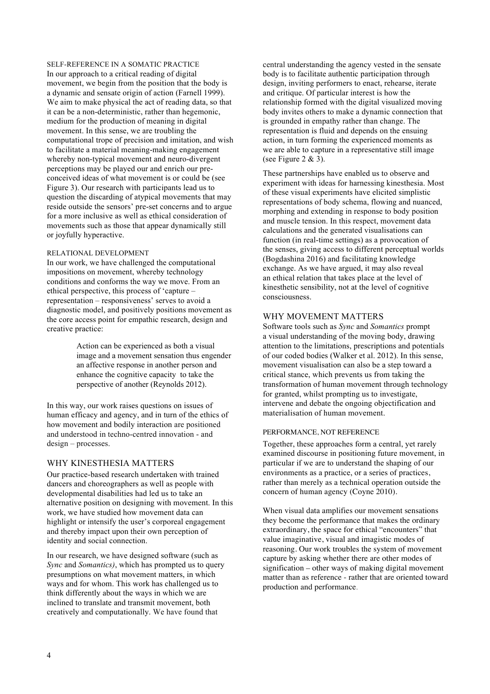SELF-REFERENCE IN A SOMATIC PRACTICE In our approach to a critical reading of digital movement, we begin from the position that the body is a dynamic and sensate origin of action (Farnell 1999). We aim to make physical the act of reading data, so that it can be a non-deterministic, rather than hegemonic, medium for the production of meaning in digital movement. In this sense, we are troubling the computational trope of precision and imitation, and wish to facilitate a material meaning-making engagement whereby non-typical movement and neuro-divergent perceptions may be played our and enrich our preconceived ideas of what movement is or could be (see Figure 3). Our research with participants lead us to question the discarding of atypical movements that may reside outside the sensors' pre-set concerns and to argue for a more inclusive as well as ethical consideration of movements such as those that appear dynamically still or joyfully hyperactive.

#### RELATIONAL DEVELOPMENT

In our work, we have challenged the computational impositions on movement, whereby technology conditions and conforms the way we move. From an ethical perspective, this process of 'capture – representation – responsiveness' serves to avoid a diagnostic model, and positively positions movement as the core access point for empathic research, design and creative practice:

> Action can be experienced as both a visual image and a movement sensation thus engender an affective response in another person and enhance the cognitive capacity to take the perspective of another (Reynolds 2012).

In this way, our work raises questions on issues of human efficacy and agency, and in turn of the ethics of how movement and bodily interaction are positioned and understood in techno-centred innovation - and design – processes.

# WHY KINESTHESIA MATTERS

Our practice-based research undertaken with trained dancers and choreographers as well as people with developmental disabilities had led us to take an alternative position on designing with movement. In this work, we have studied how movement data can highlight or intensify the user's corporeal engagement and thereby impact upon their own perception of identity and social connection.

In our research, we have designed software (such as *Sync* and *Somantics)*, which has prompted us to query presumptions on what movement matters, in which ways and for whom. This work has challenged us to think differently about the ways in which we are inclined to translate and transmit movement, both creatively and computationally. We have found that

central understanding the agency vested in the sensate body is to facilitate authentic participation through design, inviting performers to enact, rehearse, iterate and critique. Of particular interest is how the relationship formed with the digital visualized moving body invites others to make a dynamic connection that is grounded in empathy rather than change. The representation is fluid and depends on the ensuing action, in turn forming the experienced moments as we are able to capture in a representative still image (see Figure  $2 \& 3$ ).

These partnerships have enabled us to observe and experiment with ideas for harnessing kinesthesia. Most of these visual experiments have elicited simplistic representations of body schema, flowing and nuanced, morphing and extending in response to body position and muscle tension. In this respect, movement data calculations and the generated visualisations can function (in real-time settings) as a provocation of the senses, giving access to different perceptual worlds (Bogdashina 2016) and facilitating knowledge exchange. As we have argued, it may also reveal an ethical relation that takes place at the level of kinesthetic sensibility, not at the level of cognitive consciousness.

# WHY MOVEMENT MATTERS

Software tools such as *Sync* and *Somantics* prompt a visual understanding of the moving body, drawing attention to the limitations, prescriptions and potentials of our coded bodies (Walker et al. 2012). In this sense, movement visualisation can also be a step toward a critical stance, which prevents us from taking the transformation of human movement through technology for granted, whilst prompting us to investigate, intervene and debate the ongoing objectification and materialisation of human movement.

## PERFORMANCE, NOT REFERENCE

Together, these approaches form a central, yet rarely examined discourse in positioning future movement, in particular if we are to understand the shaping of our environments as a practice, or a series of practices, rather than merely as a technical operation outside the concern of human agency (Coyne 2010).

When visual data amplifies our movement sensations they become the performance that makes the ordinary extraordinary, the space for ethical "encounters" that value imaginative, visual and imagistic modes of reasoning. Our work troubles the system of movement capture by asking whether there are other modes of signification – other ways of making digital movement matter than as reference - rather that are oriented toward production and performance.